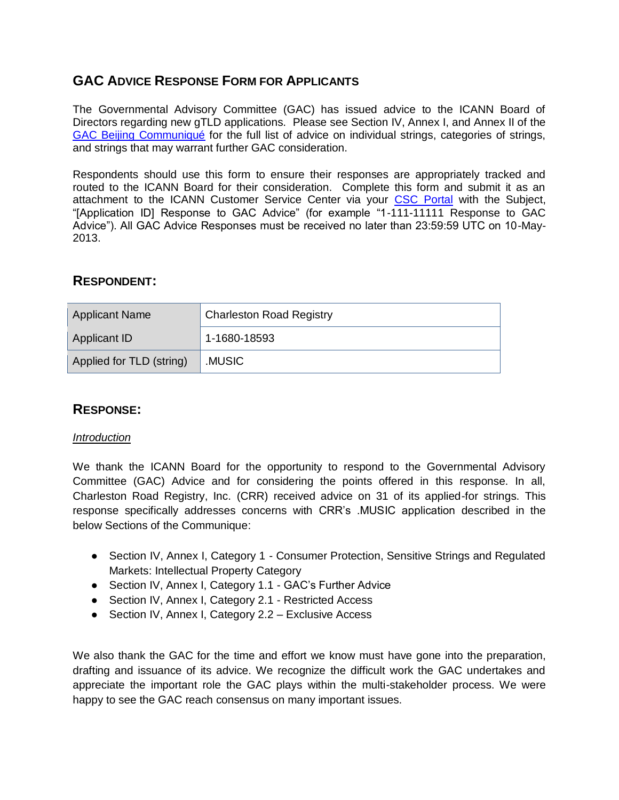# **GAC ADVICE RESPONSE FORM FOR APPLICANTS**

The Governmental Advisory Committee (GAC) has issued advice to the ICANN Board of Directors regarding new gTLD applications. Please see Section IV, Annex I, and Annex II of the [GAC Beijing Communiqué](http://www.icann.org/en/news/correspondence/gac-to-board-18apr13-en.pdf) for the full list of advice on individual strings, categories of strings, and strings that may warrant further GAC consideration.

Respondents should use this form to ensure their responses are appropriately tracked and routed to the ICANN Board for their consideration. Complete this form and submit it as an attachment to the ICANN Customer Service Center via your [CSC Portal](https://myicann.secure.force.com/) with the Subject, "[Application ID] Response to GAC Advice" (for example "1-111-11111 Response to GAC Advice"). All GAC Advice Responses must be received no later than 23:59:59 UTC on 10-May-2013.

## **RESPONDENT:**

| <b>Applicant Name</b>    | <b>Charleston Road Registry</b> |
|--------------------------|---------------------------------|
| <b>Applicant ID</b>      | 1-1680-18593                    |
| Applied for TLD (string) | .MUSIC                          |

## **RESPONSE:**

#### *Introduction*

We thank the ICANN Board for the opportunity to respond to the Governmental Advisory Committee (GAC) Advice and for considering the points offered in this response. In all, Charleston Road Registry, Inc. (CRR) received advice on 31 of its applied-for strings. This response specifically addresses concerns with CRR's .MUSIC application described in the below Sections of the Communique:

- Section IV, Annex I, Category 1 Consumer Protection, Sensitive Strings and Regulated Markets: Intellectual Property Category
- Section IV, Annex I, Category 1.1 GAC's Further Advice
- Section IV, Annex I, Category 2.1 Restricted Access
- Section IV, Annex I, Category 2.2 Exclusive Access

We also thank the GAC for the time and effort we know must have gone into the preparation, drafting and issuance of its advice. We recognize the difficult work the GAC undertakes and appreciate the important role the GAC plays within the multi-stakeholder process. We were happy to see the GAC reach consensus on many important issues.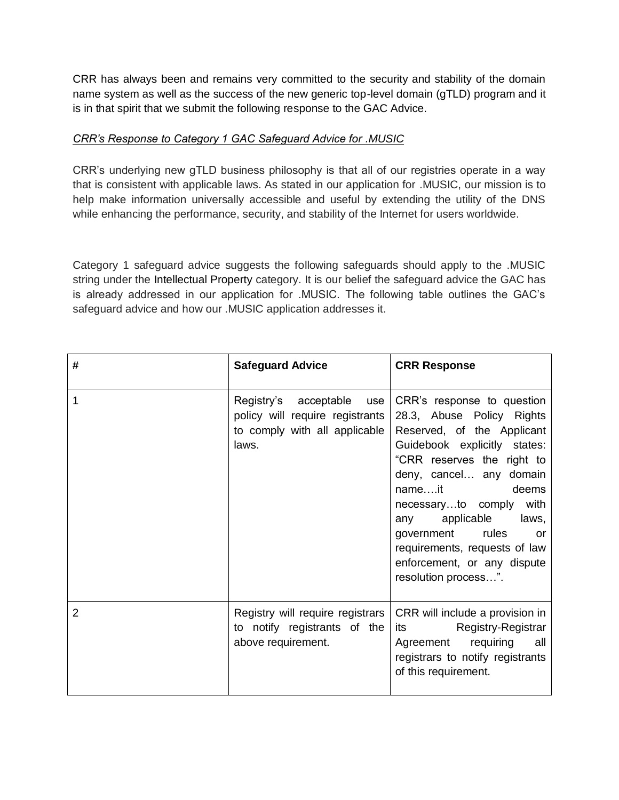CRR has always been and remains very committed to the security and stability of the domain name system as well as the success of the new generic top-level domain (gTLD) program and it is in that spirit that we submit the following response to the GAC Advice.

#### *CRR's Response to Category 1 GAC Safeguard Advice for .MUSIC*

CRR's underlying new gTLD business philosophy is that all of our registries operate in a way that is consistent with applicable laws. As stated in our application for .MUSIC, our mission is to help make information universally accessible and useful by extending the utility of the DNS while enhancing the performance, security, and stability of the Internet for users worldwide.

Category 1 safeguard advice suggests the following safeguards should apply to the .MUSIC string under the Intellectual Property category. It is our belief the safeguard advice the GAC has is already addressed in our application for .MUSIC. The following table outlines the GAC's safeguard advice and how our .MUSIC application addresses it.

| #              | <b>Safeguard Advice</b>                                                                                   | <b>CRR Response</b>                                                                                                                                                                                                                                                                                                                                                          |
|----------------|-----------------------------------------------------------------------------------------------------------|------------------------------------------------------------------------------------------------------------------------------------------------------------------------------------------------------------------------------------------------------------------------------------------------------------------------------------------------------------------------------|
| 1              | Registry's acceptable<br>use<br>policy will require registrants<br>to comply with all applicable<br>laws. | CRR's response to question<br>28.3, Abuse Policy Rights<br>Reserved, of the Applicant<br>Guidebook explicitly states:<br>"CRR reserves the right to<br>deny, cancel any domain<br>nameit<br>deems<br>necessaryto comply with<br>any applicable<br>laws,<br>rules<br>government<br>or<br>requirements, requests of law<br>enforcement, or any dispute<br>resolution process". |
| $\overline{2}$ | Registry will require registrars<br>to notify registrants of the<br>above requirement.                    | CRR will include a provision in<br>Registry-Registrar<br>its and the second second second second second second second second second second second second second second<br>Agreement requiring<br>all<br>registrars to notify registrants<br>of this requirement.                                                                                                             |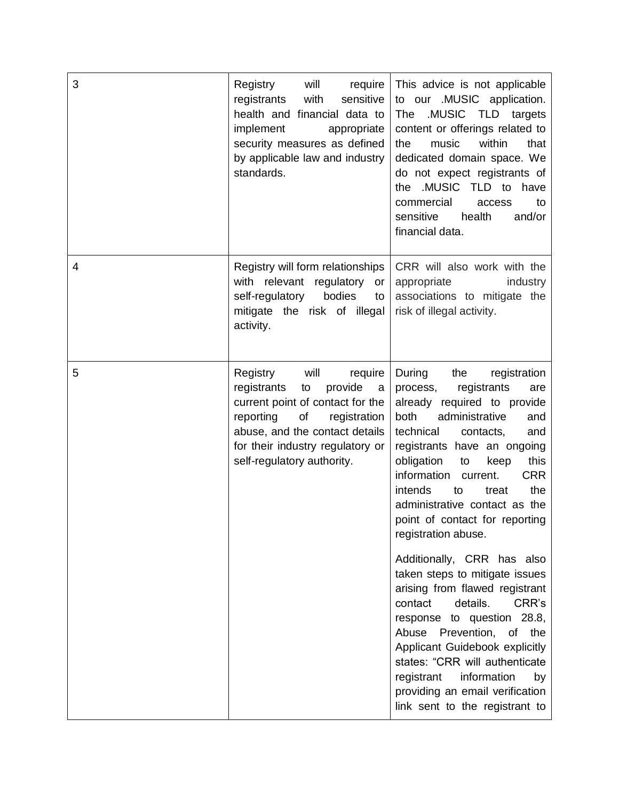| 3 | Registry<br>will<br>require<br>with<br>sensitive<br>registrants<br>health and financial data to<br>implement<br>appropriate<br>security measures as defined<br>by applicable law and industry<br>standards.                                 | This advice is not applicable<br>to our .MUSIC application.<br>.MUSIC<br>The<br>TLD<br>targets<br>content or offerings related to<br>music<br>within<br>that<br>the<br>dedicated domain space. We<br>do not expect registrants of<br>.MUSIC TLD to<br>have<br>the<br>commercial<br>access<br>to<br>health<br>sensitive<br>and/or<br>financial data.                                                                                                                                                                                                                                                                                                                                                                                                                                |
|---|---------------------------------------------------------------------------------------------------------------------------------------------------------------------------------------------------------------------------------------------|------------------------------------------------------------------------------------------------------------------------------------------------------------------------------------------------------------------------------------------------------------------------------------------------------------------------------------------------------------------------------------------------------------------------------------------------------------------------------------------------------------------------------------------------------------------------------------------------------------------------------------------------------------------------------------------------------------------------------------------------------------------------------------|
| 4 | Registry will form relationships<br>with relevant<br>regulatory<br>or<br>self-regulatory<br>bodies<br>to<br>mitigate the risk of illegal<br>activity.                                                                                       | CRR will also work with the<br>appropriate<br>industry<br>associations to mitigate the<br>risk of illegal activity.                                                                                                                                                                                                                                                                                                                                                                                                                                                                                                                                                                                                                                                                |
| 5 | will<br>Registry<br>require<br>registrants<br>provide<br>to<br>a<br>current point of contact for the<br>reporting<br>of<br>registration<br>abuse, and the contact details<br>for their industry regulatory or<br>self-regulatory authority. | During<br>the<br>registration<br>registrants<br>process,<br>are<br>required to provide<br>already<br>administrative<br>both<br>and<br>technical<br>contacts,<br>and<br>registrants have an ongoing<br>obligation<br>this<br>to<br>keep<br>information<br><b>CRR</b><br>current.<br>intends<br>the<br>to<br>treat<br>administrative contact as the<br>point of contact for reporting<br>registration abuse.<br>Additionally, CRR has also<br>taken steps to mitigate issues<br>arising from flawed registrant<br>contact<br>details.<br>CRR's<br>response to question 28.8,<br>Abuse Prevention, of the<br>Applicant Guidebook explicitly<br>states: "CRR will authenticate<br>registrant<br>information<br>by<br>providing an email verification<br>link sent to the registrant to |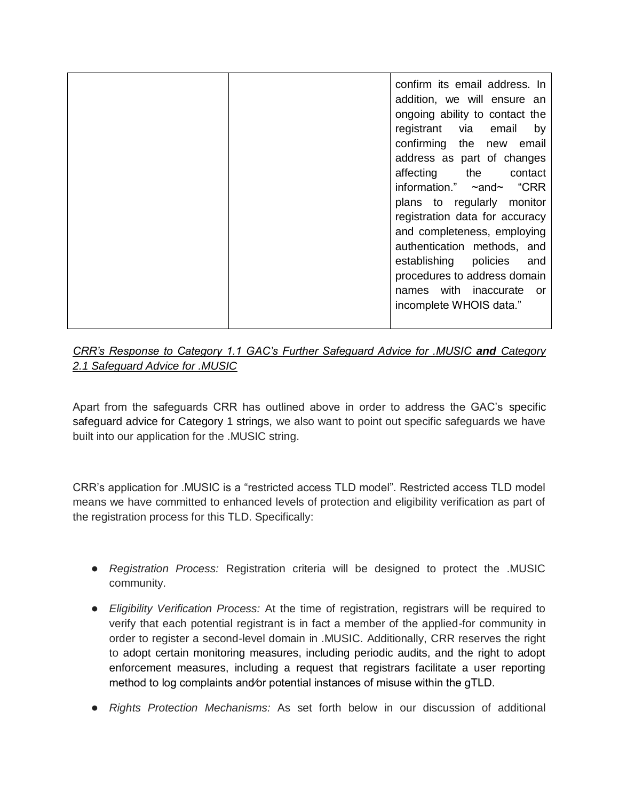| confirming | confirm its email address. In<br>addition, we will ensure an<br>ongoing ability to contact the<br>registrant via email<br>by<br>the new<br>email<br>address as part of changes<br>affecting the<br>contact<br>information." $\sim$ and $\sim$ "CRR<br>plans to regularly monitor<br>registration data for accuracy<br>and completeness, employing<br>authentication methods, and<br>establishing policies<br>and<br>procedures to address domain<br>names with inaccurate<br>or -<br>incomplete WHOIS data." |
|------------|--------------------------------------------------------------------------------------------------------------------------------------------------------------------------------------------------------------------------------------------------------------------------------------------------------------------------------------------------------------------------------------------------------------------------------------------------------------------------------------------------------------|
|------------|--------------------------------------------------------------------------------------------------------------------------------------------------------------------------------------------------------------------------------------------------------------------------------------------------------------------------------------------------------------------------------------------------------------------------------------------------------------------------------------------------------------|

### *CRR's Response to Category 1.1 GAC's Further Safeguard Advice for .MUSIC and Category 2.1 Safeguard Advice for .MUSIC*

Apart from the safeguards CRR has outlined above in order to address the GAC's specific safeguard advice for Category 1 strings, we also want to point out specific safeguards we have built into our application for the .MUSIC string.

CRR's application for .MUSIC is a "restricted access TLD model". Restricted access TLD model means we have committed to enhanced levels of protection and eligibility verification as part of the registration process for this TLD. Specifically:

- *Registration Process:* Registration criteria will be designed to protect the .MUSIC community.
- *Eligibility Verification Process:* At the time of registration, registrars will be required to verify that each potential registrant is in fact a member of the applied-for community in order to register a second-level domain in .MUSIC. Additionally, CRR reserves the right to adopt certain monitoring measures, including periodic audits, and the right to adopt enforcement measures, including a request that registrars facilitate a user reporting method to log complaints and⁄or potential instances of misuse within the gTLD.
- *Rights Protection Mechanisms:* As set forth below in our discussion of additional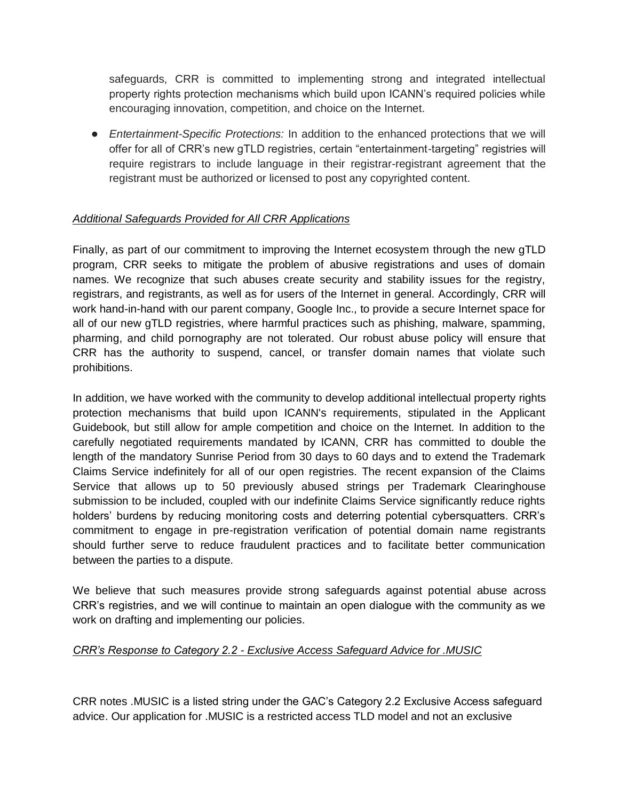safeguards, CRR is committed to implementing strong and integrated intellectual property rights protection mechanisms which build upon ICANN's required policies while encouraging innovation, competition, and choice on the Internet.

● *Entertainment-Specific Protections:* In addition to the enhanced protections that we will offer for all of CRR's new gTLD registries, certain "entertainment-targeting" registries will require registrars to include language in their registrar-registrant agreement that the registrant must be authorized or licensed to post any copyrighted content.

### *Additional Safeguards Provided for All CRR Applications*

Finally, as part of our commitment to improving the Internet ecosystem through the new gTLD program, CRR seeks to mitigate the problem of abusive registrations and uses of domain names. We recognize that such abuses create security and stability issues for the registry, registrars, and registrants, as well as for users of the Internet in general. Accordingly, CRR will work hand-in-hand with our parent company, Google Inc., to provide a secure Internet space for all of our new gTLD registries, where harmful practices such as phishing, malware, spamming, pharming, and child pornography are not tolerated. Our robust abuse policy will ensure that CRR has the authority to suspend, cancel, or transfer domain names that violate such prohibitions.

In addition, we have worked with the community to develop additional intellectual property rights protection mechanisms that build upon ICANN's requirements, stipulated in the Applicant Guidebook, but still allow for ample competition and choice on the Internet. In addition to the carefully negotiated requirements mandated by ICANN, CRR has committed to double the length of the mandatory Sunrise Period from 30 days to 60 days and to extend the Trademark Claims Service indefinitely for all of our open registries. The recent expansion of the Claims Service that allows up to 50 previously abused strings per Trademark Clearinghouse submission to be included, coupled with our indefinite Claims Service significantly reduce rights holders' burdens by reducing monitoring costs and deterring potential cybersquatters. CRR's commitment to engage in pre-registration verification of potential domain name registrants should further serve to reduce fraudulent practices and to facilitate better communication between the parties to a dispute.

We believe that such measures provide strong safeguards against potential abuse across CRR's registries, and we will continue to maintain an open dialogue with the community as we work on drafting and implementing our policies.

#### *CRR's Response to Category 2.2 - Exclusive Access Safeguard Advice for .MUSIC*

CRR notes .MUSIC is a listed string under the GAC's Category 2.2 Exclusive Access safeguard advice. Our application for .MUSIC is a restricted access TLD model and not an exclusive